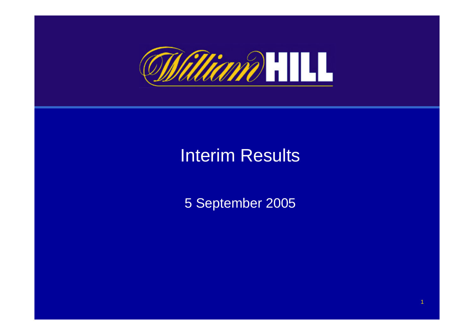

## Interim Results

5 September 2005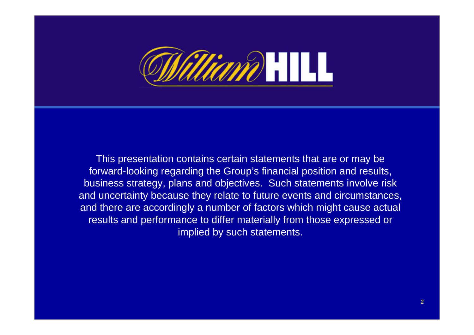

This presentation contains certain statements that are or may be forward-looking regarding the Group's financial position and results, business strategy, plans and objectives. Such statements involve risk and uncertainty because they relate to future events and circumstances, and there are accordingly a number of factors which might cause actual results and performance to differ materially from those expressed or implied by such statements.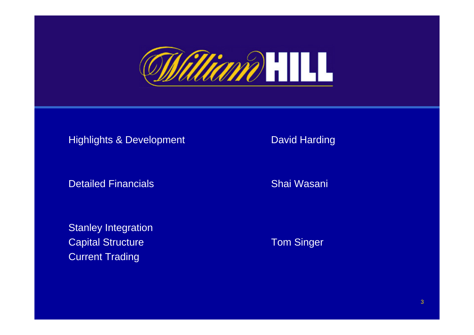

#### Highlights & Development David Harding

Detailed Financials

Stanley Integration **Capital Structure Capital Structure Capital Structure Capital Structure Capital Structure Capital Structure C** Current Trading

Shai Wasani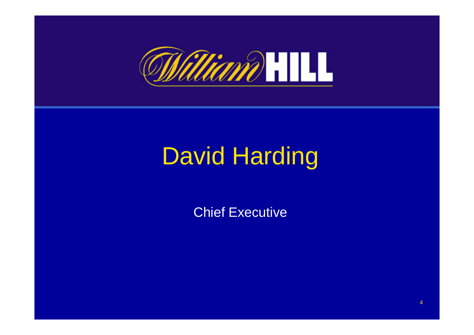

# David Harding

Chief Executive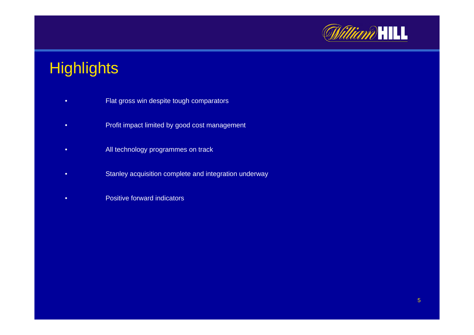

## **Highlights**

- •Flat gross win despite tough comparators
- •Profit impact limited by good cost management
- •All technology programmes on track
- •Stanley acquisition complete and integration underway
- •• **Positive forward indicators**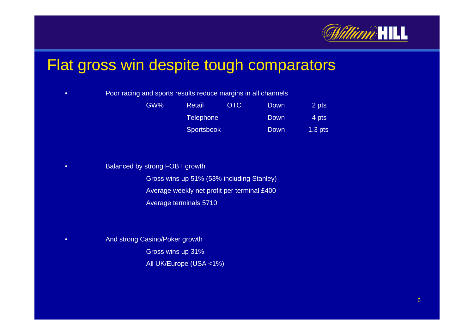

### Flat gross win despite tough comparators

#### • $\bullet$   $\qquad \qquad$  Poor racing and sports results reduce margins in all channels

| GW% | Retail            | OTC | Down | 2 pts     |
|-----|-------------------|-----|------|-----------|
|     | Telephone'        |     | Down | 4 pts     |
|     | <b>Sportsbook</b> |     | Down | $1.3$ pts |

#### •• Balanced by strong FOBT growth

Gross wins up 51% (53% i ncluding Stanley) Average weekly net profit per t erminal £400 Average terminals 5710

#### • And strong Casino/Poker growth Gross wins up 31% All UK/Europe (USA <1%)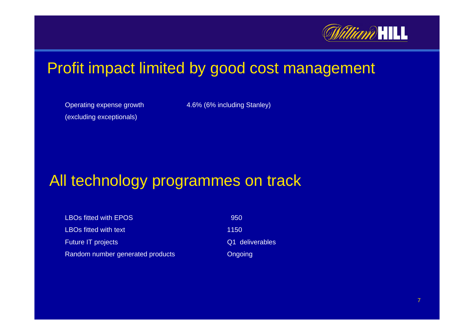

### Profit impact limited by good cost management

Operating expense growth (excluding exceptional s)

4.6% (6% including Stanley)

### All technology programmes on track

LBOs fitted with EPOS 950 LBOs fitted with text 1150 Future IT projects **CALC EXECUTE:** Q1 deliverables Random number generated products **Congoing** Congoing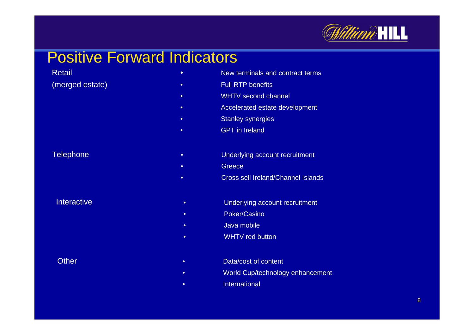

#### Positive Forward Indicators

•

•

Retail

(merged estate)

•• The Mew terminals and contract terms

- •Full RTP benefits
- WHTV second channel
- •Accelerated estate development
- •Stanley synergies
- •• GPT in Ireland

#### Telephone **• Intervention of the Underlying account recruitment**

- **Greece**
- •Cross sell Ireland/Channel Islands
- Underlying account recruitment
- •Poker/Casi no
- •Java mobil e
- •WHTV red button
- Data/cost of content
- •World Cup/technology enhancement
- •• International

**Interactive** 

**Other** ria de la construcción de la construcción de la construcción de la construcción de la construcción de la const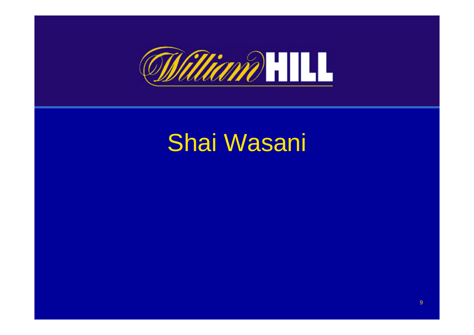

# Shai Wasani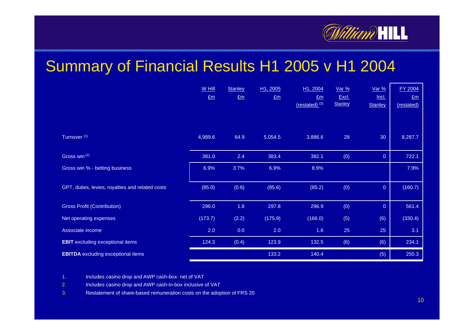

#### Summary of Financial Results H1 2005 v H1 2004

|                                                  | W Hill         | Stanley     | H1, 2005 | H1, 2004                    | <u>Var %</u>   | <u>Var %</u>   | FY 2004    |
|--------------------------------------------------|----------------|-------------|----------|-----------------------------|----------------|----------------|------------|
|                                                  | E <sub>m</sub> | $E_{\rm m}$ | $E_{m}$  | $E_{m}$                     | Excl.          | <u>Incl.</u>   | $E_m$      |
|                                                  |                |             |          | $(restated)$ <sup>(3)</sup> | <b>Stanley</b> | <b>Stanley</b> | (restated) |
|                                                  |                |             |          |                             |                |                |            |
| Turnover <sup>(1)</sup>                          | 4,989.6        | 64.9        | 5,054.5  | 3,886.6                     | 28             | 30             | 8,287.7    |
| Gross win (2)                                    | 381.0          | 2.4         | 383.4    | 382.1                       | (0)            | $\overline{0}$ | 722.1      |
| Gross win % - betting business                   | 6.9%           | 3.7%        | 6.9%     | 8.9%                        |                |                | 7.9%       |
|                                                  |                |             |          |                             |                |                |            |
| GPT, duties, levies, royalties and related costs | (85.0)         | (0.6)       | (85.6)   | (85.2)                      | (0)            | $\overline{0}$ | (160.7)    |
|                                                  |                |             |          |                             |                |                |            |
| <b>Gross Profit (Contribution)</b>               | 296.0          | 1.8         | 297.8    | 296.9                       | (0)            | $\overline{0}$ | 561.4      |
| Net operating expenses                           | (173.7)        | (2.2)       | (175.9)  | (166.0)                     | (5)            | (6)            | (330.4)    |
| Associate income                                 | 2.0            | 0.0         | 2.0      | 1.6                         | 25             | 25             | 3.1        |
| <b>EBIT</b> excluding exceptional items          | 124.3          | (0.4)       | 123.9    | 132.5                       | (6)            | (6)            | 234.1      |
| <b>EBITDA</b> excluding exceptional items        |                |             | 133.2    | 140.4                       |                | (5)            | 250.3      |

1.Includes casino drop and AWP cash-box- net of VAT

2.Includes casino drop and AWP cash-in-box inclusive of VAT

3.Restatement of share-based remuneration costs on the adoption of F RS 20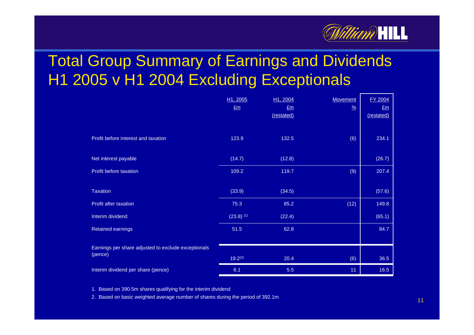

## Total Group Summary of Earnings and Dividends H1 2005 v H1 2004 Excluding Exceptionals

|                                                     | H <sub>1</sub> , 2005 | H <sub>1</sub> , 2004 | <b>Movement</b> | <b>FY 2004</b> |
|-----------------------------------------------------|-----------------------|-----------------------|-----------------|----------------|
|                                                     | $E_{\rm m}$           | Em                    | $\frac{9}{6}$   | E <sub>m</sub> |
|                                                     |                       | (restated)            |                 | (restated)     |
|                                                     |                       |                       |                 |                |
| Profit before interest and taxation                 | 123.9                 | 132.5                 | (6)             | 234.1          |
| Net interest payable                                | (14.7)                | (12.8)                |                 | (26.7)         |
| Profit before taxation                              | 109.2                 | 119.7                 | (9)             | 207.4          |
|                                                     |                       |                       |                 |                |
| <b>Taxation</b>                                     | (33.9)                | (34.5)                |                 | (57.6)         |
| Profit after taxation                               | 75.3                  | 85.2                  | (12)            | 149.8          |
| Interim dividend                                    | $(23.8)$ (1)          | (22.4)                |                 | (65.1)         |
| <b>Retained earnings</b>                            | 51.5                  | 62.8                  |                 | 84.7           |
|                                                     |                       |                       |                 |                |
| Earnings per share adjusted to exclude exceptionals |                       |                       |                 |                |
| (pence)                                             | $19.2^{(2)}$          | 20.4                  | (6)             | 36.5           |
| Interim dividend per share (pence)                  | 6.1                   | 5.5                   | 11              | 16.5           |

1. Based on 390.5m shares qualifying for the interim dividend

2. Based on basic weighted average number of shares during the period of 392.1m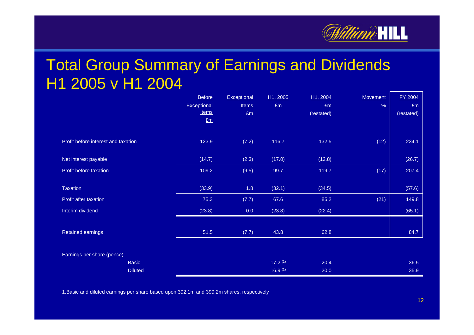

### Total Group Summary of Earnings and Dividends H1 2005 v H1 2004

|                                     | <b>Before</b> | Exceptional  | H <sub>1</sub> , 2005 | H1, 2004   | <b>Movement</b> | <b>FY 2004</b> |
|-------------------------------------|---------------|--------------|-----------------------|------------|-----------------|----------------|
|                                     | Exceptional   | <b>Items</b> | Em                    | Em         | $\frac{9}{6}$   | Em             |
|                                     | <b>Items</b>  | $E_m$        |                       | (restated) |                 | (restated)     |
|                                     | Em            |              |                       |            |                 |                |
| Profit before interest and taxation | 123.9         | (7.2)        | 116.7                 | 132.5      | (12)            | 234.1          |
| Net interest payable                | (14.7)        | (2.3)        | (17.0)                | (12.8)     |                 | (26.7)         |
| Profit before taxation              | 109.2         | (9.5)        | 99.7                  | 119.7      | (17)            | 207.4          |
|                                     |               |              |                       |            |                 |                |
| Taxation                            | (33.9)        | 1.8          | (32.1)                | (34.5)     |                 | (57.6)         |
| Profit after taxation               | 75.3          | (7.7)        | 67.6                  | 85.2       | (21)            | 149.8          |
| Interim dividend                    | (23.8)        | 0.0          | (23.8)                | (22.4)     |                 | (65.1)         |
|                                     |               |              |                       |            |                 |                |
| Retained earnings                   | 51.5          | (7.7)        | 43.8                  | 62.8       |                 | 84.7           |
|                                     |               |              |                       |            |                 |                |
| Earnings per share (pence)          |               |              |                       |            |                 |                |
| <b>Basic</b>                        |               |              | 17.2 <sup>(1)</sup>   | 20.4       |                 | 36.5           |
| <b>Diluted</b>                      |               |              | 16.9 <sup>(1)</sup>   | 20.0       |                 | 35.9           |

1.Basic and diluted earnings per share based upon 392.1m and 399.2m shares, respectively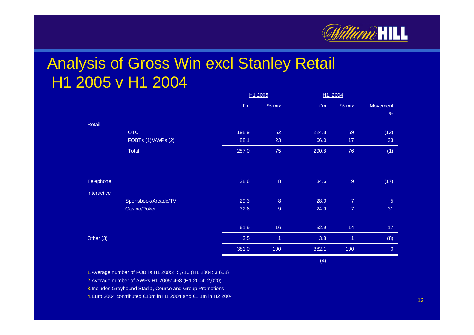

### Analysis of Gross Win excl Stanley Retail H1 2005 v H1 2004

|             |                      |       | <u>H1 2005</u> |       | <u>H1, 2004</u>          |                           |
|-------------|----------------------|-------|----------------|-------|--------------------------|---------------------------|
|             |                      | Em    | % mix          | Em    | % mix                    | Movement<br>$\frac{9}{6}$ |
| Retail      |                      |       |                |       |                          |                           |
|             | <b>OTC</b>           | 198.9 | 52             | 224.8 | 59                       | (12)                      |
|             | FOBTs (1)/AWPs (2)   | 88.1  | 23             | 66.0  | 17                       | 33                        |
|             | Total                | 287.0 | 75             | 290.8 | 76                       | (1)                       |
|             |                      |       |                |       |                          |                           |
| Telephone   |                      | 28.6  | $\overline{8}$ | 34.6  | $\mathsf g$              | (17)                      |
| Interactive |                      |       |                |       |                          |                           |
|             | Sportsbook/Arcade/TV | 29.3  | $\overline{8}$ | 28.0  | $\overline{\mathcal{I}}$ | $\overline{5}$            |
|             | Casino/Poker         | 32.6  | $\overline{9}$ | 24.9  | $\overline{7}$           | 31                        |
|             |                      | 61.9  | 16             | 52.9  | 14                       | $17$                      |
| Other $(3)$ |                      | 3.5   | $\overline{1}$ | 3.8   | $\overline{1}$           | (8)                       |
|             |                      | 381.0 | 100            | 382.1 | 100                      | $\mathbf 0$               |
|             |                      |       |                | (4)   |                          |                           |

1.Average number of F OBTs H1 2005; 5,710 (H1 2004: 3,658)

2.Average number of AWPs H1 2005: 468 (H1 2004: 2,020)

3.Includes Greyhound Stadia, Course and Group Promotions

4.Euro 2004 contributed £10m in H1 2004 and £1.1m in H2 2004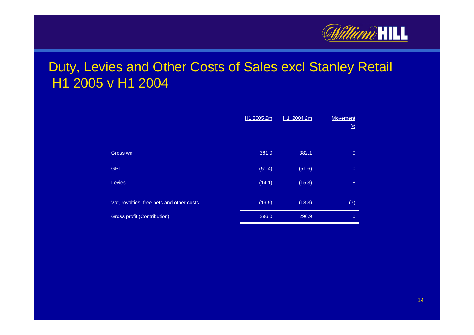

#### Duty, Levies and Other Costs of Sales excl Stanley Retail H1 2005 v H1 2004

|                                           | H1 2005 £m | H1, 2004 £m | <b>Movement</b><br>$\frac{9}{6}$ |
|-------------------------------------------|------------|-------------|----------------------------------|
|                                           |            |             |                                  |
| Gross win                                 | 381.0      | 382.1       | $\overline{0}$                   |
| <b>GPT</b>                                | (51.4)     | (51.6)      | $\overline{0}$                   |
| Levies                                    | (14.1)     | (15.3)      | $\boldsymbol{8}$                 |
|                                           |            |             |                                  |
| Vat, royalties, free bets and other costs | (19.5)     | (18.3)      | (7)                              |
| <b>Gross profit (Contribution)</b>        | 296.0      | 296.9       | $\overline{0}$                   |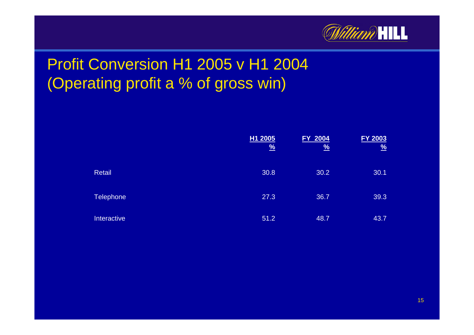

## Profit Conversion H1 2005 v H1 2004 (Operating profit a % of gross win)

|                  | H <sub>1</sub> 2005<br>$\frac{9}{6}$ | <b>FY 2004</b><br>$\frac{9}{6}$ | <b>FY 2003</b><br>$\frac{9}{6}$ |
|------------------|--------------------------------------|---------------------------------|---------------------------------|
| <b>Retail</b>    | 30.8                                 | 30.2                            | 30.1                            |
| <b>Telephone</b> | 27.3                                 | 36.7                            | 39.3                            |
| Interactive      | 51.2                                 | 48.7                            | 43.7                            |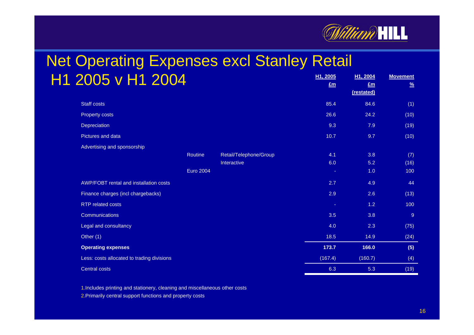

**Movement**

#### **H1, 2005 Net Operating Expenses excl Stanley Retail** H1 2005 v H1 2004**H1, 2004 £m**

| ZUUJ V H<br><b>ZUU4</b>                    |                        | Em      | £m<br>(restated) | $\frac{9}{6}$ |
|--------------------------------------------|------------------------|---------|------------------|---------------|
| <b>Staff costs</b>                         |                        | 85.4    | 84.6             | (1)           |
| Property costs                             |                        | 26.6    | 24.2             | (10)          |
| Depreciation                               |                        | 9.3     | 7.9              | (19)          |
| Pictures and data                          |                        | 10.7    | 9.7              | (10)          |
| Advertising and sponsorship                |                        |         |                  |               |
| Routine                                    | Retail/Telephone/Group | 4.1     | 3.8              | (7)           |
|                                            | Interactive            | 6.0     | 5.2              | (16)          |
| <b>Euro 2004</b>                           |                        | ×.      | 1.0              | 100           |
| AWP/FOBT rental and installation costs     |                        | 2.7     | 4.9              | 44            |
| Finance charges (incl chargebacks)         |                        | 2.9     | 2.6              | (13)          |
| <b>RTP</b> related costs                   |                        | $\sim$  | 1.2              | 100           |
| <b>Communications</b>                      |                        | 3.5     | 3.8              | 9             |
| Legal and consultancy                      |                        | 4.0     | 2.3              | (75)          |
| Other (1)                                  |                        | 18.5    | 14.9             | (24)          |
| <b>Operating expenses</b>                  |                        | 173.7   | 166.0            | (5)           |
| Less: costs allocated to trading divisions |                        | (167.4) | (160.7)          | (4)           |
| Central costs                              |                        | 6.3     | 5.3              | (19)          |

1.Includes printing and stationery, cleaning and miscellaneous other costs

2.Primarily central support functions and property costs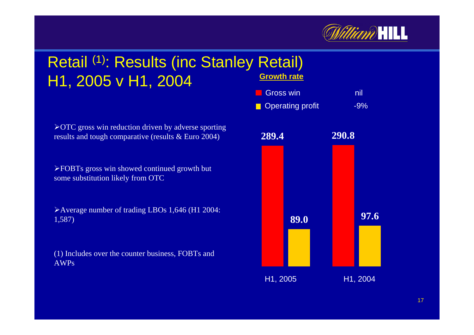

#### **Growth rate** Retail (1): Results (inc Stanley Retail) H1, 2005 v H1, 2004

¾OTC gross win reduction driven by adverse sporting results and tough comparative (results & Euro 2004)

¾FOBTs gross win showed continued growth but some substitution likely from OTC

¾Average number of trading LBOs 1,646 (H1 2004: 1,587)

(1) Includes over the counter business, FOBTs and AWPs

**Gross win** nil

**Operating profit** -9%

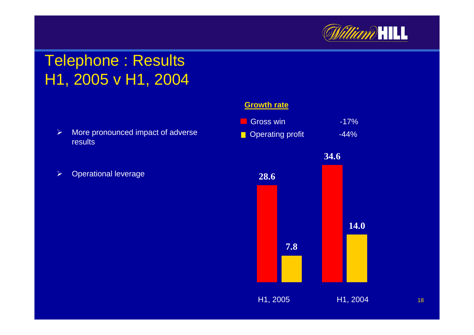

### Telephone : Results H1, 2005 v H1, 2004

- $\blacktriangleright$  More pronounced impact of adverse results
- $\blacktriangleright$ Operational leverage

#### **Growth rate**

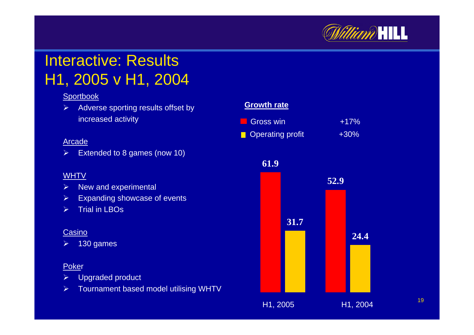

## Interactive: ResultsH1, 2005 v H1, 2004

#### **Sportbook**

 $\blacktriangleright$  Adverse sporting results offset by increased activity

#### Arcade

 $\blacktriangleright$ Extended to 8 games (now 10)

#### WHTV

- ¾New and experimental
- $\blacktriangleright$ Expanding showcase of events
- $\blacktriangleright$ Trial in LBOs

#### Casino

¾130 games

#### Poker

- $\blacktriangleright$ Upgraded product
- $\blacktriangleright$ Tournament based model utilising WHTV

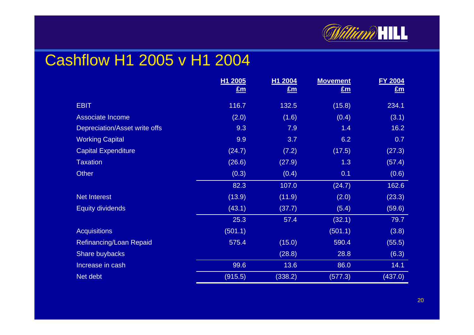

### Cashflow H1 2005 v H1 2004

|                               | H <sub>1</sub> 2005 | H1 2004 | <b>Movement</b> | <b>FY 2004</b> |
|-------------------------------|---------------------|---------|-----------------|----------------|
|                               | $E_{\rm m}$         | Em      | Em              | $E_{\rm m}$    |
| <b>EBIT</b>                   | 116.7               | 132.5   | (15.8)          | 234.1          |
| Associate Income              | (2.0)               | (1.6)   | (0.4)           | (3.1)          |
| Depreciation/Asset write offs | 9.3                 | 7.9     | 1.4             | 16.2           |
| <b>Working Capital</b>        | 9.9                 | 3.7     | 6.2             | 0.7            |
| <b>Capital Expenditure</b>    | (24.7)              | (7.2)   | (17.5)          | (27.3)         |
| <b>Taxation</b>               | (26.6)              | (27.9)  | 1.3             | (57.4)         |
| <b>Other</b>                  | (0.3)               | (0.4)   | 0.1             | (0.6)          |
|                               | 82.3                | 107.0   | (24.7)          | 162.6          |
| <b>Net Interest</b>           | (13.9)              | (11.9)  | (2.0)           | (23.3)         |
| <b>Equity dividends</b>       | (43.1)              | (37.7)  | (5.4)           | (59.6)         |
|                               | 25.3                | 57.4    | (32.1)          | 79.7           |
| <b>Acquisitions</b>           | (501.1)             |         | (501.1)         | (3.8)          |
| Refinancing/Loan Repaid       | 575.4               | (15.0)  | 590.4           | (55.5)         |
| Share buybacks                |                     | (28.8)  | 28.8            | (6.3)          |
| Increase in cash              | 99.6                | 13.6    | 86.0            | 14.1           |
| Net debt                      | (915.5)             | (338.2) | (577.3)         | (437.0)        |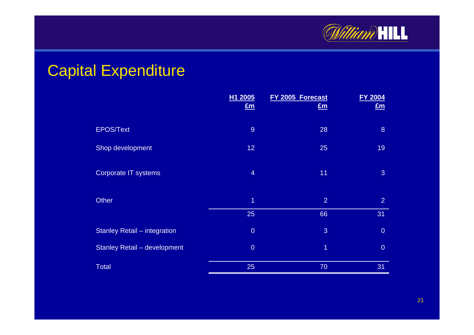

### Capital Expenditure

|                                     | H1 2005<br>Em   | FY 2005 Forecast<br>$E_m$ | <b>FY 2004</b><br>Em |
|-------------------------------------|-----------------|---------------------------|----------------------|
| <b>EPOS/Text</b>                    | $\overline{9}$  | 28                        | 8                    |
| Shop development                    | 12 <sub>2</sub> | 25                        | 19                   |
| <b>Corporate IT systems</b>         | $\overline{4}$  | 11                        | 3                    |
| <b>Other</b>                        | $\overline{1}$  | $\overline{2}$            | $\overline{2}$       |
|                                     | 25              | 66                        | 31                   |
| <b>Stanley Retail - integration</b> | $\overline{0}$  | 3                         | $\overline{0}$       |
| <b>Stanley Retail - development</b> | $\overline{0}$  | $\overline{1}$            | $\overline{0}$       |
| <b>Total</b>                        | 25              | 70                        | 31                   |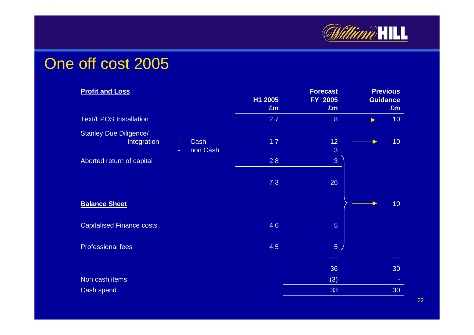

#### One off cost 2005

| <b>Profit and Loss</b>                                                                  | H1 2005<br>£m | <b>Forecast</b><br>FY 2005<br>£m | <b>Previous</b><br><b>Guidance</b><br>£m |
|-----------------------------------------------------------------------------------------|---------------|----------------------------------|------------------------------------------|
| <b>Text/EPOS Installation</b>                                                           | 2.7           | 8                                | 10 <sub>1</sub>                          |
| <b>Stanley Due Diligence/</b><br>Integration<br>Cash<br>$\blacksquare$<br>non Cash<br>÷ | 1.7           | 12 <sub>2</sub><br>3             | 10 <sub>1</sub>                          |
| Aborted return of capital                                                               | 2.8           | $\overline{3}$                   |                                          |
|                                                                                         | 7.3           | 26                               |                                          |
| <b>Balance Sheet</b>                                                                    |               |                                  | 10 <sub>1</sub>                          |
| <b>Capitalised Finance costs</b>                                                        | 4.6           | $5\overline{)}$                  |                                          |
| <b>Professional fees</b>                                                                | 4.5           | 5 <sub>2</sub>                   |                                          |
|                                                                                         |               | ----                             | ----                                     |
|                                                                                         |               | 36                               | 30                                       |
| Non cash items                                                                          |               | (3)                              |                                          |
| <b>Cash spend</b>                                                                       |               | 33                               | 30                                       |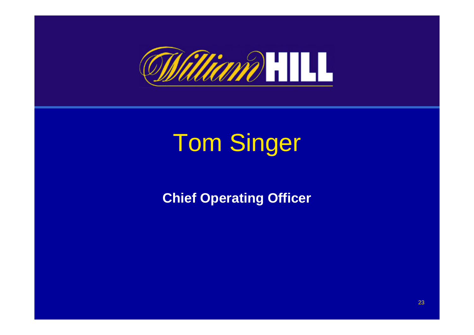

# Tom Singer

**Chief Operating Officer**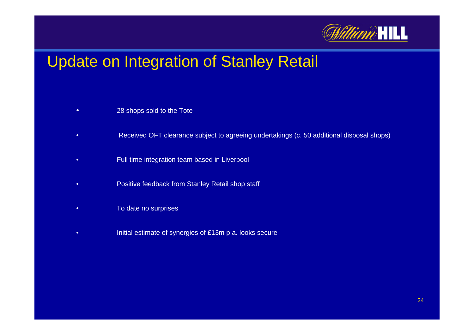

### Update on Integration of Stanley Retail

- •28 shops sold to the Tote
- •Received OFT clearance subject to agreeing undertaki ngs (c. 50 additional disposal shops)
- •Full time integration team based i n Liverpool
- •Positive feedback from Stanley Retail shop staff
- •To date no surprises
- •Initial estimate of synergies of £13m p.a. looks secure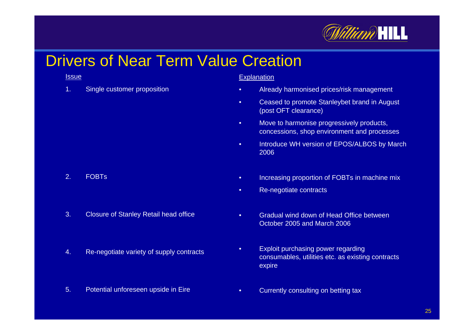

### Drivers of Near Term Value Creation

#### **Issue**

1.Single customer proposition

#### <u>Explanation</u>

- •Already harmonised prices/risk management
- •• Ceased to promote Stanleybet brand in August (post OFT clearance)
- • Move to harmonise progressively products, concessions, shop environment and proce sses
- • Introduce WH version of EPOS/ALBOS by March 2006
- •• Increasing proportion of FOBTs in machine mix
- •• Re-negotiate contracts
- • Gradual wind down of Head Office between October 2005 and March 2006
- •• Exploit purchasing power regarding consumables, utilities etc. as existing contracts expire
- •• Currently consulting on betting tax

#### 2.FOBTs

- 3.Closure of Stanley R etail head office
- 4.Re-negoti ate variety of supply contracts
- 5.Potenti al unforeseen upsi de in Eire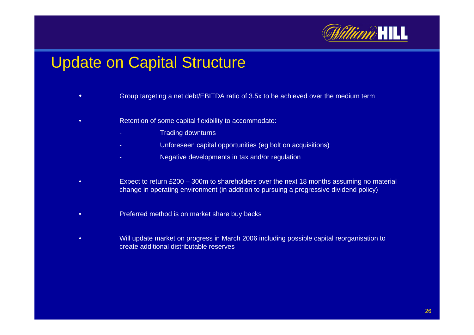

### Update on Capital Structure

- •Group targeting a net debt/EBI TDA ratio of 3.5x to be achieved over the medium term
- • Retention of some capital flexibility to accommodate:
	- Trading downturns
	- Comparest Unforeseen capital opportunities (eg bolt on acquisitions)
	- Negative devel opments in tax and/or regul ation
- •• Expect to return £200 – 300m to shareholders over the next 18 months assuming no material c hange in o perating environment (in addition to pursuing a progressive dividend policy)
- •Preferred method is on market share buy backs
- • Will update market on progress in March 2006 including possible capital reorganisation to create additional distributable reserves